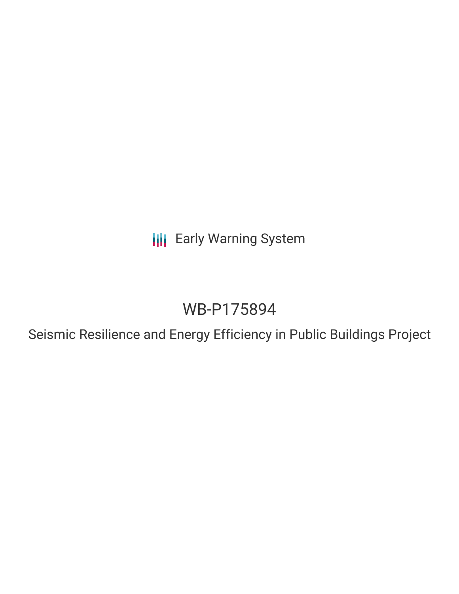**III** Early Warning System

# WB-P175894

Seismic Resilience and Energy Efficiency in Public Buildings Project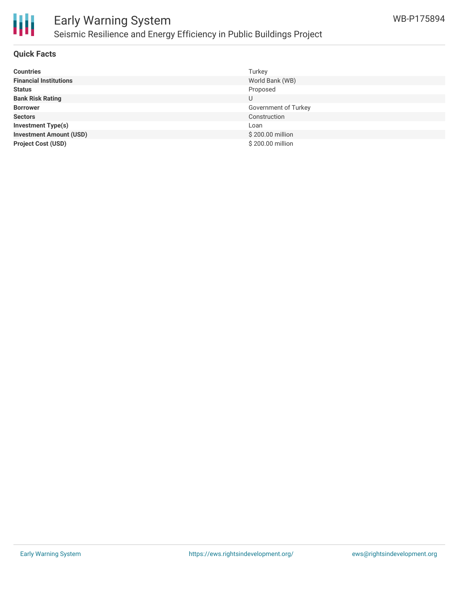

## Early Warning System Seismic Resilience and Energy Efficiency in Public Buildings Project

### **Quick Facts**

| <b>Countries</b>               | Turkey               |
|--------------------------------|----------------------|
| <b>Financial Institutions</b>  | World Bank (WB)      |
| <b>Status</b>                  | Proposed             |
| <b>Bank Risk Rating</b>        | U                    |
| <b>Borrower</b>                | Government of Turkey |
| <b>Sectors</b>                 | Construction         |
| Investment Type(s)             | Loan                 |
| <b>Investment Amount (USD)</b> | \$200.00 million     |
| <b>Project Cost (USD)</b>      | \$200.00 million     |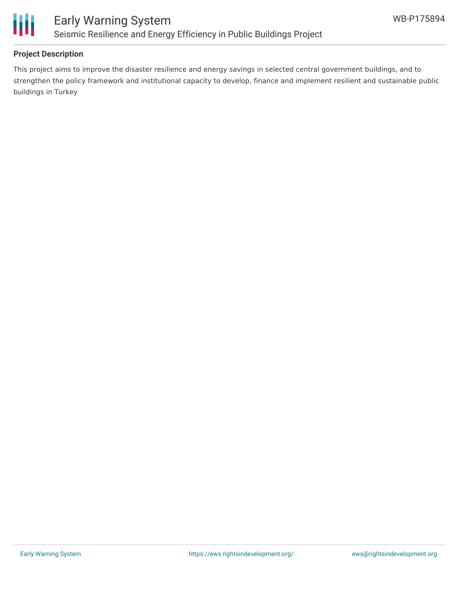

### **Project Description**

This project aims to improve the disaster resilience and energy savings in selected central government buildings, and to strengthen the policy framework and institutional capacity to develop, finance and implement resilient and sustainable public buildings in Turkey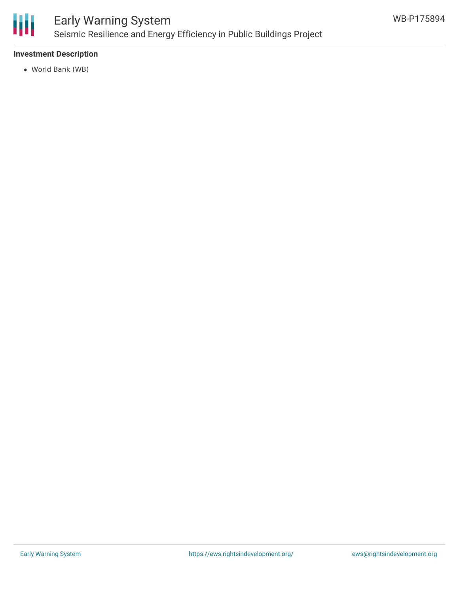

# Early Warning System Seismic Resilience and Energy Efficiency in Public Buildings Project

## **Investment Description**

World Bank (WB)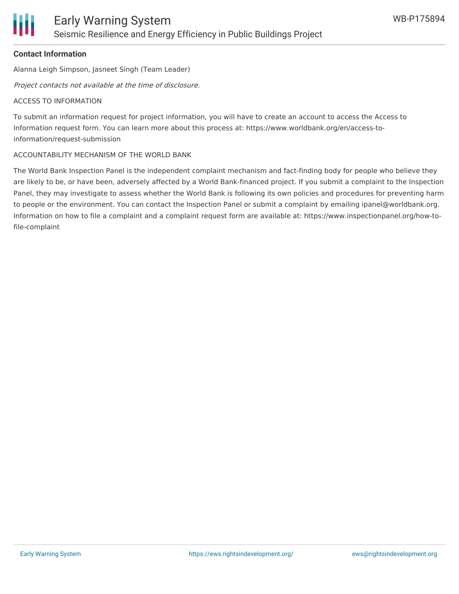### **Contact Information**

Alanna Leigh Simpson, Jasneet Singh (Team Leader)

Project contacts not available at the time of disclosure.

#### ACCESS TO INFORMATION

To submit an information request for project information, you will have to create an account to access the Access to Information request form. You can learn more about this process at: https://www.worldbank.org/en/access-toinformation/request-submission

#### ACCOUNTABILITY MECHANISM OF THE WORLD BANK

The World Bank Inspection Panel is the independent complaint mechanism and fact-finding body for people who believe they are likely to be, or have been, adversely affected by a World Bank-financed project. If you submit a complaint to the Inspection Panel, they may investigate to assess whether the World Bank is following its own policies and procedures for preventing harm to people or the environment. You can contact the Inspection Panel or submit a complaint by emailing ipanel@worldbank.org. Information on how to file a complaint and a complaint request form are available at: https://www.inspectionpanel.org/how-tofile-complaint